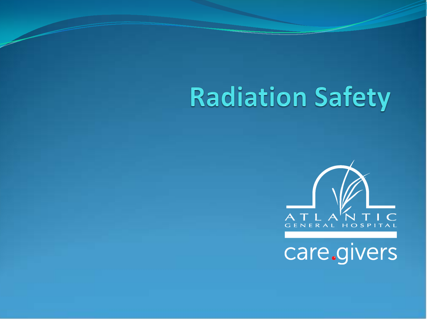### **Radiation Safety**



care.givers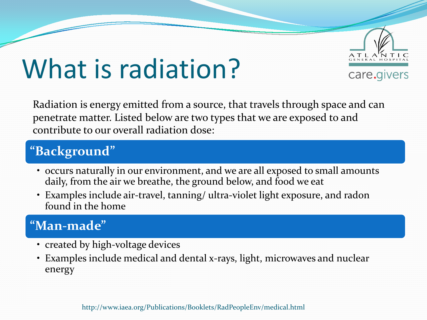

### What is radiation?

Radiation is energy emitted from a source, that travels through space and can penetrate matter. Listed below are two types that we are exposed to and contribute to our overall radiation dose:

### **"Background"**

- occurs naturally in our environment, and we are all exposed to small amounts daily, from the air we breathe, the ground below, and food we eat
- Examples include air-travel, tanning/ ultra-violet light exposure, and radon found in the home

### **"Man-made"**

- created by high-voltage devices
- Examples include medical and dental x-rays, light, microwaves and nuclear energy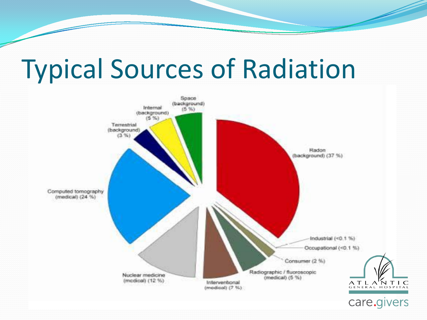### Typical Sources of Radiation

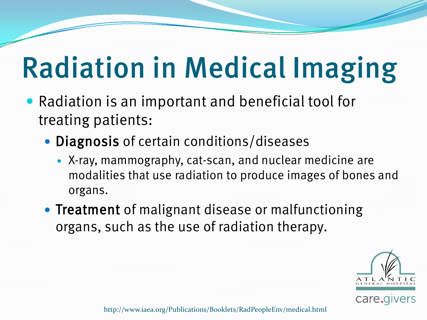# Radiation in Medical Imaging

- Radiation is an important and beneficial tool for treating patients:
	- Diagnosis of certain conditions/diseases
		- X-ray, mammography, cat-scan, and nuclear medicine are modalities that use radiation to produce images of bones and organs.
	- Treatment of malignant disease or malfunctioning organs, such as the use of radiation therapy.



http://www.iaea.org/Publications/Booklets/RadPeopleEnv/medical.html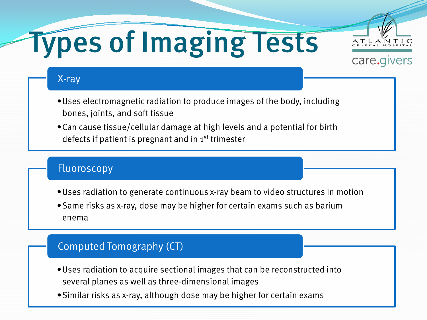

care.givers

# Types of Imaging Tests

### X-ray

- •Uses electromagnetic radiation to produce images of the body, including bones, joints, and soft tissue
- •Can cause tissue/cellular damage at high levels and a potential for birth defects if patient is pregnant and in 1st trimester

#### Fluoroscopy

- •Uses radiation to generate continuous x-ray beam to video structures in motion
- •Same risks as x-ray, dose may be higher for certain exams such as barium enema

### Computed Tomography (CT)

- •Uses radiation to acquire sectional images that can be reconstructed into several planes as well as three-dimensional images
- •Similar risks as x-ray, although dose may be higher for certain exams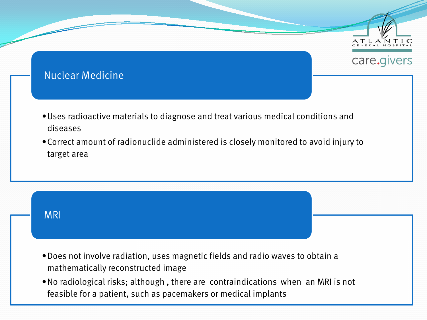



### Nuclear Medicine

- •Uses radioactive materials to diagnose and treat various medical conditions and diseases
- •Correct amount of radionuclide administered is closely monitored to avoid injury to target area

MRI

- •Does not involve radiation, uses magnetic fields and radio waves to obtain a mathematically reconstructed image
- •No radiological risks; although , there are contraindications when an MRI is not feasible for a patient, such as pacemakers or medical implants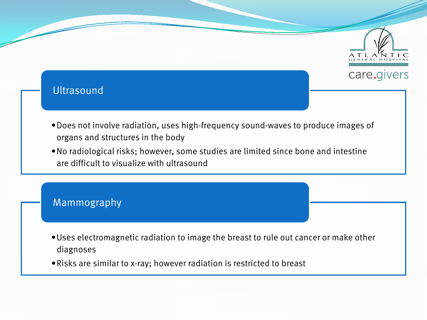



### Ultrasound

- •Does not involve radiation, uses high-frequency sound-waves to produce images of organs and structures in the body
- •No radiological risks; however, some studies are limited since bone and intestine are difficult to visualize with ultrasound

### Mammography

- •Uses electromagnetic radiation to image the breast to rule out cancer or make other diagnoses
- •Risks are similar to x-ray; however radiation is restricted to breast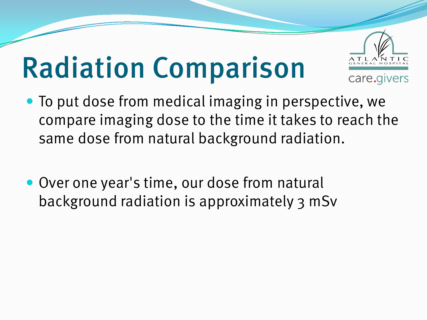care.givers

## Radiation Comparison

- To put dose from medical imaging in perspective, we compare imaging dose to the time it takes to reach the same dose from natural background radiation.
- Over one year's time, our dose from natural background radiation is approximately 3 mSv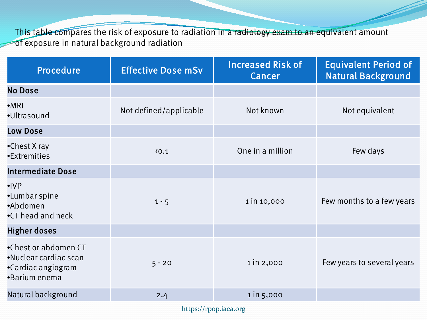This table compares the risk of exposure to radiation in a radiology exam to an equivalent amount of exposure in natural background radiation

| <b>Procedure</b>                                                                     | <b>Effective Dose mSv</b> | <b>Increased Risk of</b><br><b>Cancer</b> | <b>Equivalent Period of</b><br><b>Natural Background</b> |
|--------------------------------------------------------------------------------------|---------------------------|-------------------------------------------|----------------------------------------------------------|
| <b>No Dose</b>                                                                       |                           |                                           |                                                          |
| $-MRI$<br>·Ultrasound                                                                | Not defined/applicable    | Not known                                 | Not equivalent                                           |
| <b>Low Dose</b>                                                                      |                           |                                           |                                                          |
| •Chest X ray<br>•Extremities                                                         | $\langle 0.1$             | One in a million                          | Few days                                                 |
| <b>Intermediate Dose</b>                                                             |                           |                                           |                                                          |
| $\bullet$ IVP<br>•Lumbar spine<br>•Abdomen<br>•CT head and neck                      | $1 - 5$                   | 1 in 10,000                               | Few months to a few years                                |
| <b>Higher doses</b>                                                                  |                           |                                           |                                                          |
| •Chest or abdomen CT<br>•Nuclear cardiac scan<br>•Cardiac angiogram<br>•Barium enema | $5 - 20$                  | 1 in 2,000                                | Few years to several years                               |
| Natural background                                                                   | 2.4                       | 1 in 5,000                                |                                                          |

https://rpop.iaea.org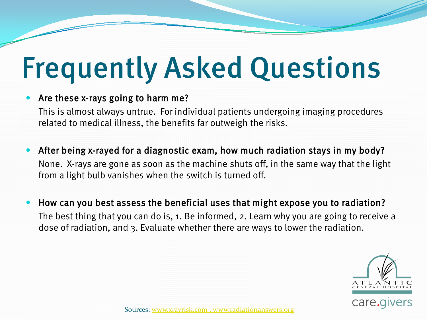# Frequently Asked Questions

#### • Are these x-rays going to harm me?

This is almost always untrue. For individual patients undergoing imaging procedures related to medical illness, the benefits far outweigh the risks.

- After being x-rayed for a diagnostic exam, how much radiation stays in my body? None. X-rays are gone as soon as the machine shuts off, in the same way that the light from a light bulb vanishes when the switch is turned off.
- How can you best assess the beneficial uses that might expose you to radiation? The best thing that you can do is, 1. Be informed, 2. Learn why you are going to receive a dose of radiation, and 3. Evaluate whether there are ways to lower the radiation.

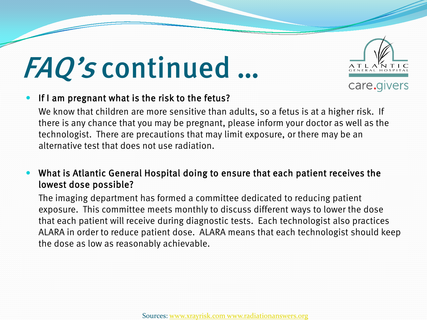# FAQ's continued …



#### **.** If I am pregnant what is the risk to the fetus?

We know that children are more sensitive than adults, so a fetus is at a higher risk. If there is any chance that you may be pregnant, please inform your doctor as well as the technologist. There are precautions that may limit exposure, or there may be an alternative test that does not use radiation.

#### What is Atlantic General Hospital doing to ensure that each patient receives the lowest dose possible?

The imaging department has formed a committee dedicated to reducing patient exposure. This committee meets monthly to discuss different ways to lower the dose that each patient will receive during diagnostic tests. Each technologist also practices ALARA in order to reduce patient dose. ALARA means that each technologist should keep the dose as low as reasonably achievable.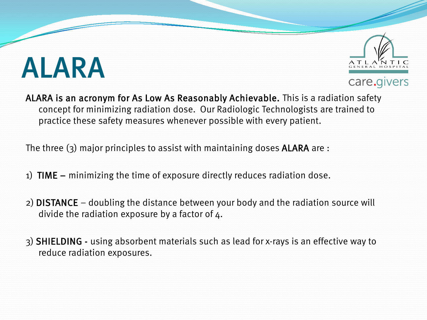### ALARA



care.givers

ALARA is an acronym for As Low As Reasonably Achievable. This is a radiation safety concept for minimizing radiation dose. Our Radiologic Technologists are trained to practice these safety measures whenever possible with every patient.

The three  $(3)$  major principles to assist with maintaining doses **ALARA** are :

- 1) TIME minimizing the time of exposure directly reduces radiation dose.
- 2) DISTANCE doubling the distance between your body and the radiation source will divide the radiation exposure by a factor of 4.
- 3) SHIELDING using absorbent materials such as lead for x-rays is an effective way to reduce radiation exposures.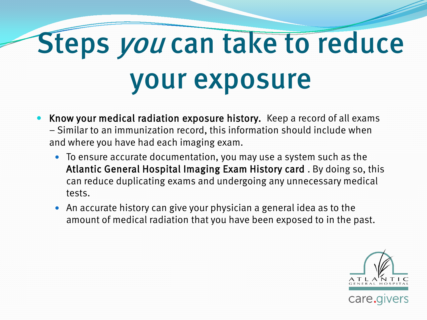# Steps you can take to reduce your exposure

- Know your medical radiation exposure history. Keep a record of all exams – Similar to an immunization record, this information should include when and where you have had each imaging exam.
	- To ensure accurate documentation, you may use a system such as the Atlantic General Hospital Imaging Exam History card . By doing so, this can reduce duplicating exams and undergoing any unnecessary medical tests.
	- An accurate history can give your physician a general idea as to the amount of medical radiation that you have been exposed to in the past.

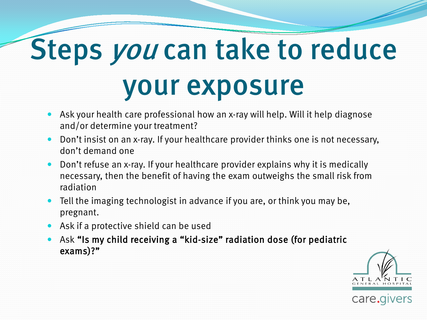# Steps you can take to reduce your exposure

- Ask your health care professional how an x-ray will help. Will it help diagnose and/or determine your treatment?
- Don't insist on an x-ray. If your healthcare provider thinks one is not necessary, don't demand one
- Don't refuse an x-ray. If your healthcare provider explains why it is medically necessary, then the benefit of having the exam outweighs the small risk from radiation
- Tell the imaging technologist in advance if you are, or think you may be, pregnant.
- Ask if a protective shield can be used
- Ask "Is my child receiving a "kid-size" radiation dose (for pediatric exams)?"

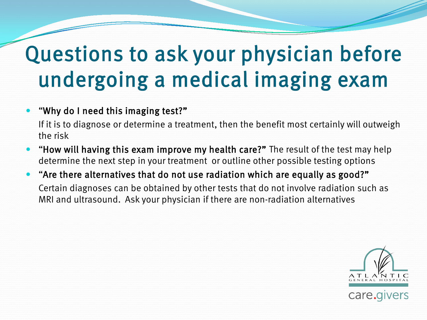### Questions to ask your physician before undergoing a medical imaging exam

### "Why do I need this imaging test?"

If it is to diagnose or determine a treatment, then the benefit most certainly will outweigh the risk

- "How will having this exam improve my health care?" The result of the test may help determine the next step in your treatment or outline other possible testing options
- "Are there alternatives that do not use radiation which are equally as good?" Certain diagnoses can be obtained by other tests that do not involve radiation such as MRI and ultrasound. Ask your physician if there are non-radiation alternatives

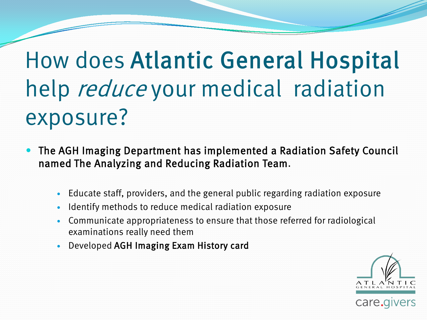### How does Atlantic General Hospital help reduce your medical radiation exposure?

- The AGH Imaging Department has implemented a Radiation Safety Council named The Analyzing and Reducing Radiation Team.
	- Educate staff, providers, and the general public regarding radiation exposure
	- Identify methods to reduce medical radiation exposure
	- Communicate appropriateness to ensure that those referred for radiological examinations really need them
	- Developed AGH Imaging Exam History card

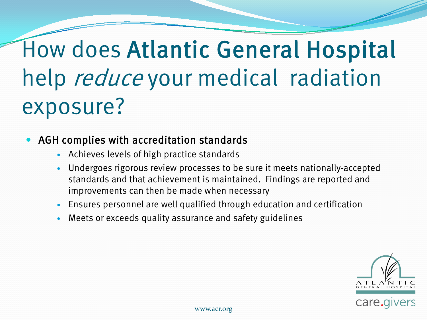### How does Atlantic General Hospital help reduce your medical radiation exposure?

### AGH complies with accreditation standards

- Achieves levels of high practice standards
- Undergoes rigorous review processes to be sure it meets nationally-accepted standards and that achievement is maintained. Findings are reported and improvements can then be made when necessary
- Ensures personnel are well qualified through education and certification
- Meets or exceeds quality assurance and safety guidelines

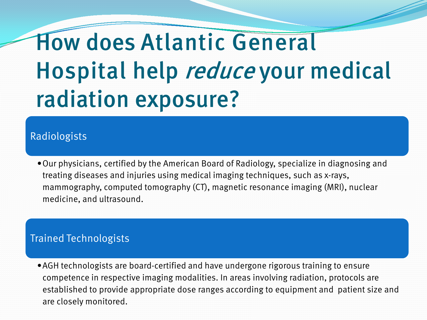### How does Atlantic General Hospital help reduce your medical radiation exposure?

### Radiologists

•Our physicians, certified by the American Board of Radiology, specialize in diagnosing and treating diseases and injuries using medical imaging techniques, such as x-rays, mammography, computed tomography (CT), magnetic resonance imaging (MRI), nuclear medicine, and ultrasound.

#### Trained Technologists

•AGH technologists are board-certified and have undergone rigorous training to ensure competence in respective imaging modalities. In areas involving radiation, protocols are established to provide appropriate dose ranges according to equipment and patient size and are closely monitored.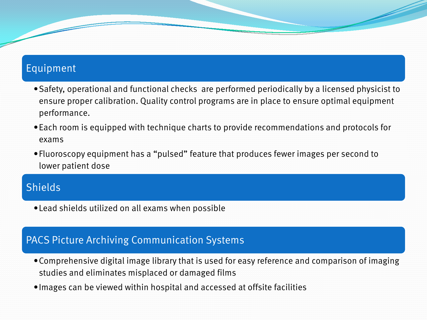### Equipment

- •Safety, operational and functional checks are performed periodically by a licensed physicist to ensure proper calibration. Quality control programs are in place to ensure optimal equipment performance.
- •Each room is equipped with technique charts to provide recommendations and protocols for exams
- •Fluoroscopy equipment has a "pulsed" feature that produces fewer images per second to lower patient dose

### Shields

•Lead shields utilized on all exams when possible

### PACS Picture Archiving Communication Systems

- •Comprehensive digital image library that is used for easy reference and comparison of imaging studies and eliminates misplaced or damaged films
- •Images can be viewed within hospital and accessed at offsite facilities